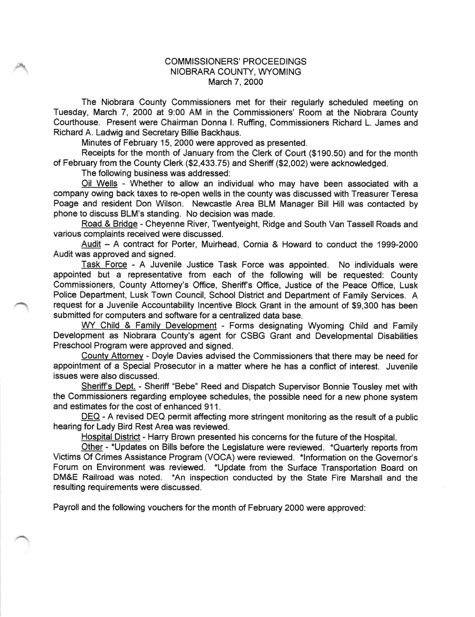## COMMISSIONERS' PROCEEDINGS NIOBRARA COUNTY, WYOMING March 7, 2000

The Niobrara County Commissioners met for their regularly scheduled meeting on Tuesday, March 7, 2000 at 9:00 AM in the Commissioners' Room at the Niobrara County Courthouse. Present were Chairman Donna l. Ruffing, Commissioners Richard L. James and Richard A. Ladwig and Secretary Billie Backhaus.

Minutes of February 15, 2000 were approved as presented.

Receipts for the month of January from the Clerk of Court (\$190.50) and for the month of February from the County Clerk (\$2,433.75) and Sheriff (\$2,002) were acknowledged.

The following business was addressed:

Oil Wells - Whether to allow an individual who may have been associated with <sup>a</sup> company owing back taxes to re-open wells in the county was discussed with Treasurer Teresa Poage and resident Don Wilson. Newcastle Area BLM Manager Bill Hill was contacted by phone to discuss BLM's standing. No decision was made.

Road & Bridqe - Cheyenne River, Twentyeight, Ridge and South Van Tassell Roads and various complaints received were discussed.

Audit - A contract for Porter, Muirhead, Cornia & Howard to conduct the 1999-2000 Audit was approved and signed.

Task Force - A Juvenile Justice Task Force was appointed. No individuals were appointed but a representative from each of the following will be requested: County Commissioners, County Attorney's Office, Sheriff's Office, Justice of the Peace Office, Lusk Police Department, Lusk Town Council, School District and Department of Family Services. A request for a Juvenile Accountability lncentive Block Grant in the amount of \$9,300 has been submitted for computers and sofiware for a centralized data base.

WY Child & Family Development - Forms designating Wyoming Child and Family Development as Niobrara County's agent for CSBG Grant and Developmental Disabilities Preschool Program were approved and signed.

Countv Attomev - Doyle Davies advised the Commissioners that there may be need for appointment of a Special Prosecutor in a matter where he has a conflict of interest. Juvenile issues were also discussed.

Sheriff's Dept. - Sheriff "Bebe" Reed and Dispatch Supervisor Bonnie Tousley met with the Commissioners regarding employee schedules, the possible need for a new phone system and estimates for the cost of enhanced 911.

DEQ - A revised DEQ permit affecting more stringent monitoring as the result of a public hearing for Lady Bird Rest Area was reviewed.

Hospital District - Harry Brown presented his concerns for the future of the Hospital.

Other - \*Updates on Bills before the Legislature were reviewed. \*Quarterly reports from Victims Of Crimes Assistance Program (VOCA) were reviewed. \*Information on the Governor's Forum on Environment was reviewed. \*Update from the Surface Transportation Board on DM&E Railroad was noted. \*An inspection conducted by the State Fire Marshall and the resulting requirements were discussed.

Payroll and the following vouchers for the month of February 2000 were approved: